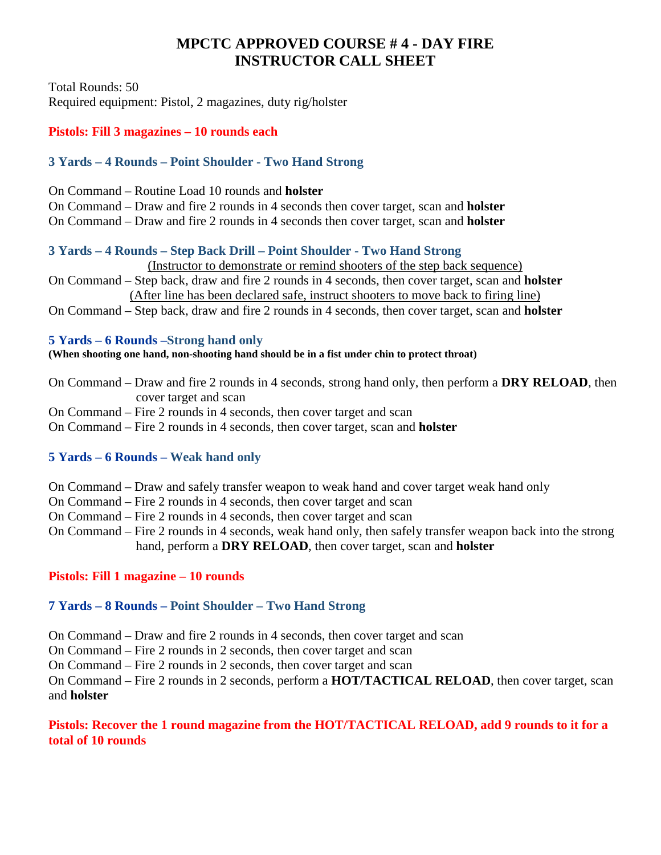# **MPCTC APPROVED COURSE # 4 - DAY FIRE INSTRUCTOR CALL SHEET**

Total Rounds: 50 Required equipment: Pistol, 2 magazines, duty rig/holster

#### **Pistols: Fill 3 magazines – 10 rounds each**

## **3 Yards – 4 Rounds – Point Shoulder - Two Hand Strong**

- On Command Routine Load 10 rounds and **holster**
- On Command Draw and fire 2 rounds in 4 seconds then cover target, scan and **holster**
- On Command Draw and fire 2 rounds in 4 seconds then cover target, scan and **holster**

#### **3 Yards – 4 Rounds – Step Back Drill – Point Shoulder - Two Hand Strong**

(Instructor to demonstrate or remind shooters of the step back sequence)

- On Command Step back, draw and fire 2 rounds in 4 seconds, then cover target, scan and **holster** (After line has been declared safe, instruct shooters to move back to firing line)
- On Command Step back, draw and fire 2 rounds in 4 seconds, then cover target, scan and **holster**

#### **5 Yards – 6 Rounds –Strong hand only**

**(When shooting one hand, non-shooting hand should be in a fist under chin to protect throat)**

- On Command Draw and fire 2 rounds in 4 seconds, strong hand only, then perform a **DRY RELOAD**, then cover target and scan
- On Command Fire 2 rounds in 4 seconds, then cover target and scan
- On Command Fire 2 rounds in 4 seconds, then cover target, scan and **holster**

## **5 Yards – 6 Rounds – Weak hand only**

- On Command Draw and safely transfer weapon to weak hand and cover target weak hand only
- On Command Fire 2 rounds in 4 seconds, then cover target and scan
- On Command Fire 2 rounds in 4 seconds, then cover target and scan
- On Command Fire 2 rounds in 4 seconds, weak hand only, then safely transfer weapon back into the strong hand, perform a **DRY RELOAD**, then cover target, scan and **holster**

## **Pistols: Fill 1 magazine – 10 rounds**

## **7 Yards – 8 Rounds – Point Shoulder – Two Hand Strong**

- On Command Draw and fire 2 rounds in 4 seconds, then cover target and scan
- On Command Fire 2 rounds in 2 seconds, then cover target and scan

On Command – Fire 2 rounds in 2 seconds, then cover target and scan

On Command – Fire 2 rounds in 2 seconds, perform a **HOT/TACTICAL RELOAD**, then cover target, scan and **holster**

## **Pistols: Recover the 1 round magazine from the HOT/TACTICAL RELOAD, add 9 rounds to it for a total of 10 rounds**